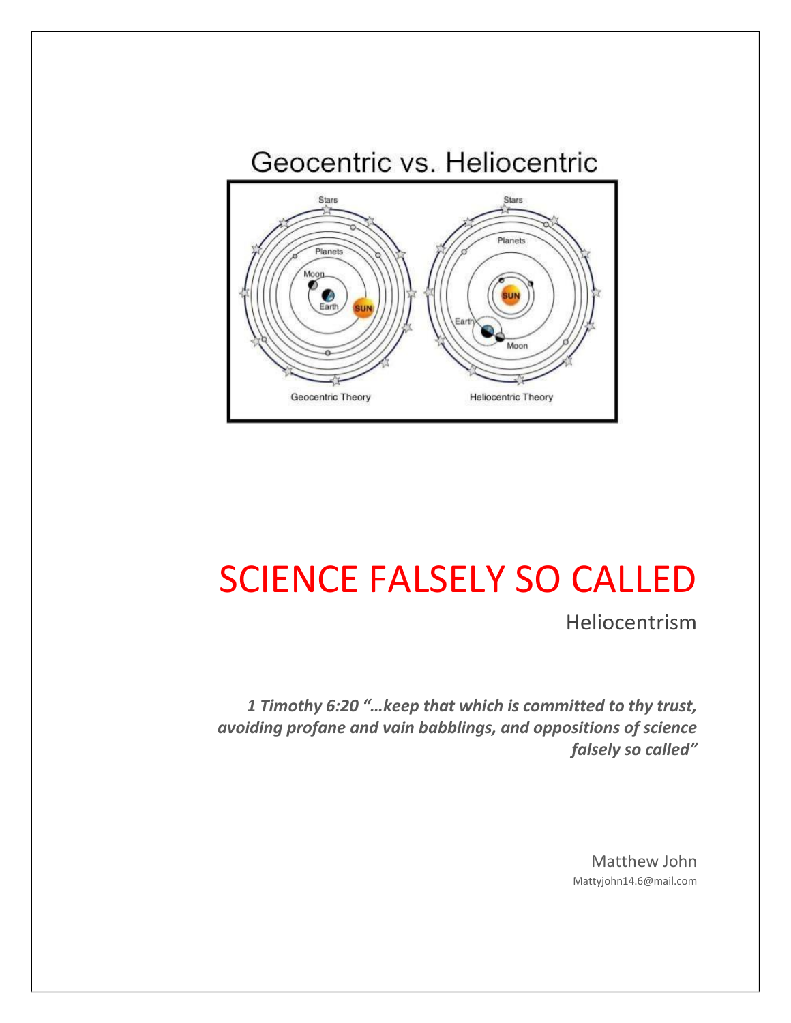

# SCIENCE FALSELY SO CALLED

Heliocentrism

*1 Timothy 6:20 "…keep that which is committed to thy trust, avoiding profane and vain babblings, and oppositions of science falsely so called"* 

> Matthew John Mattyjohn14.6@mail.com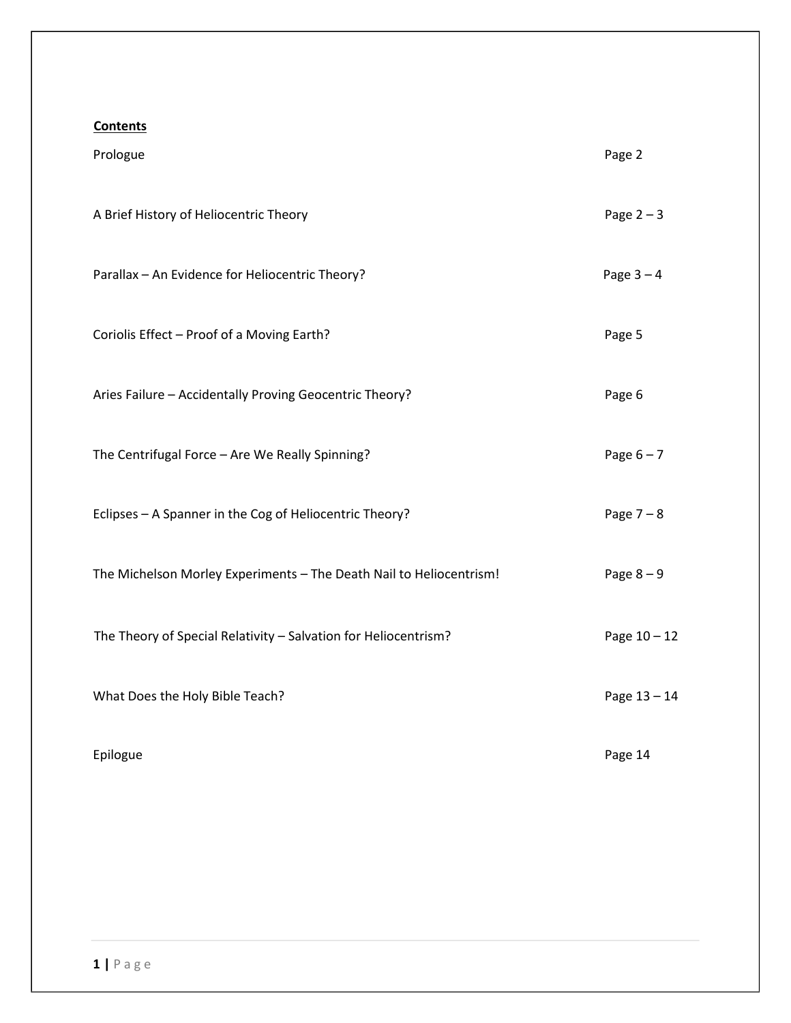# **Contents**

| Prologue                                                            | Page 2       |
|---------------------------------------------------------------------|--------------|
| A Brief History of Heliocentric Theory                              | Page $2 - 3$ |
| Parallax - An Evidence for Heliocentric Theory?                     | Page $3-4$   |
| Coriolis Effect - Proof of a Moving Earth?                          | Page 5       |
| Aries Failure - Accidentally Proving Geocentric Theory?             | Page 6       |
| The Centrifugal Force - Are We Really Spinning?                     | Page $6 - 7$ |
| Eclipses - A Spanner in the Cog of Heliocentric Theory?             | Page $7 - 8$ |
| The Michelson Morley Experiments - The Death Nail to Heliocentrism! | Page $8-9$   |
| The Theory of Special Relativity - Salvation for Heliocentrism?     | Page 10 - 12 |
| What Does the Holy Bible Teach?                                     | Page 13 - 14 |
| Epilogue                                                            | Page 14      |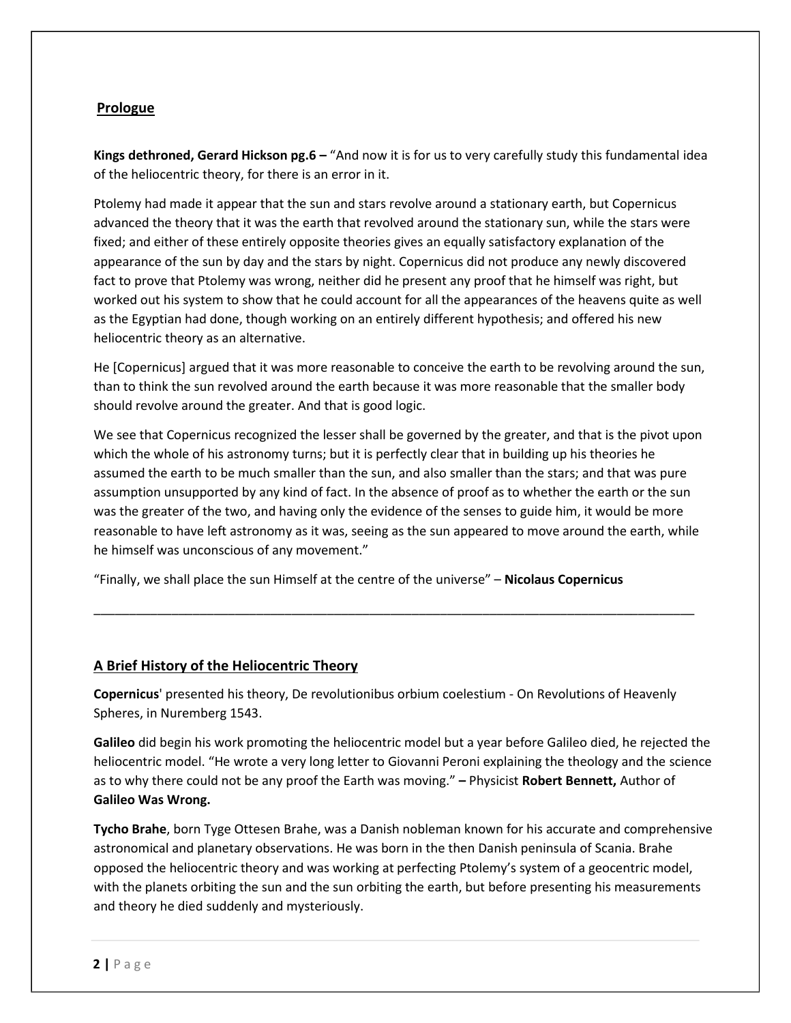# **Prologue**

**Kings dethroned, Gerard Hickson pg.6 –** "And now it is for us to very carefully study this fundamental idea of the heliocentric theory, for there is an error in it.

Ptolemy had made it appear that the sun and stars revolve around a stationary earth, but Copernicus advanced the theory that it was the earth that revolved around the stationary sun, while the stars were fixed; and either of these entirely opposite theories gives an equally satisfactory explanation of the appearance of the sun by day and the stars by night. Copernicus did not produce any newly discovered fact to prove that Ptolemy was wrong, neither did he present any proof that he himself was right, but worked out his system to show that he could account for all the appearances of the heavens quite as well as the Egyptian had done, though working on an entirely different hypothesis; and offered his new heliocentric theory as an alternative.

He [Copernicus] argued that it was more reasonable to conceive the earth to be revolving around the sun, than to think the sun revolved around the earth because it was more reasonable that the smaller body should revolve around the greater. And that is good logic.

We see that Copernicus recognized the lesser shall be governed by the greater, and that is the pivot upon which the whole of his astronomy turns; but it is perfectly clear that in building up his theories he assumed the earth to be much smaller than the sun, and also smaller than the stars; and that was pure assumption unsupported by any kind of fact. In the absence of proof as to whether the earth or the sun was the greater of the two, and having only the evidence of the senses to guide him, it would be more reasonable to have left astronomy as it was, seeing as the sun appeared to move around the earth, while he himself was unconscious of any movement."

\_\_\_\_\_\_\_\_\_\_\_\_\_\_\_\_\_\_\_\_\_\_\_\_\_\_\_\_\_\_\_\_\_\_\_\_\_\_\_\_\_\_\_\_\_\_\_\_\_\_\_\_\_\_\_\_\_\_\_\_\_\_\_\_\_\_\_\_\_\_\_\_\_\_\_\_\_\_\_\_\_\_\_\_\_

"Finally, we shall place the sun Himself at the centre of the universe" – **Nicolaus Copernicus** 

# **A Brief History of the Heliocentric Theory**

**Copernicus**' presented his theory, De revolutionibus orbium coelestium - On Revolutions of Heavenly Spheres, in Nuremberg 1543.

**Galileo** did begin his work promoting the heliocentric model but a year before Galileo died, he rejected the heliocentric model. "He wrote a very long letter to Giovanni Peroni explaining the theology and the science as to why there could not be any proof the Earth was moving." **–** Physicist **Robert Bennett,** Author of **Galileo Was Wrong.**

**Tycho Brahe**, born Tyge Ottesen Brahe, was a Danish nobleman known for his accurate and comprehensive astronomical and planetary observations. He was born in the then Danish peninsula of Scania. Brahe opposed the heliocentric theory and was working at perfecting Ptolemy's system of a geocentric model, with the planets orbiting the sun and the sun orbiting the earth, but before presenting his measurements and theory he died suddenly and mysteriously.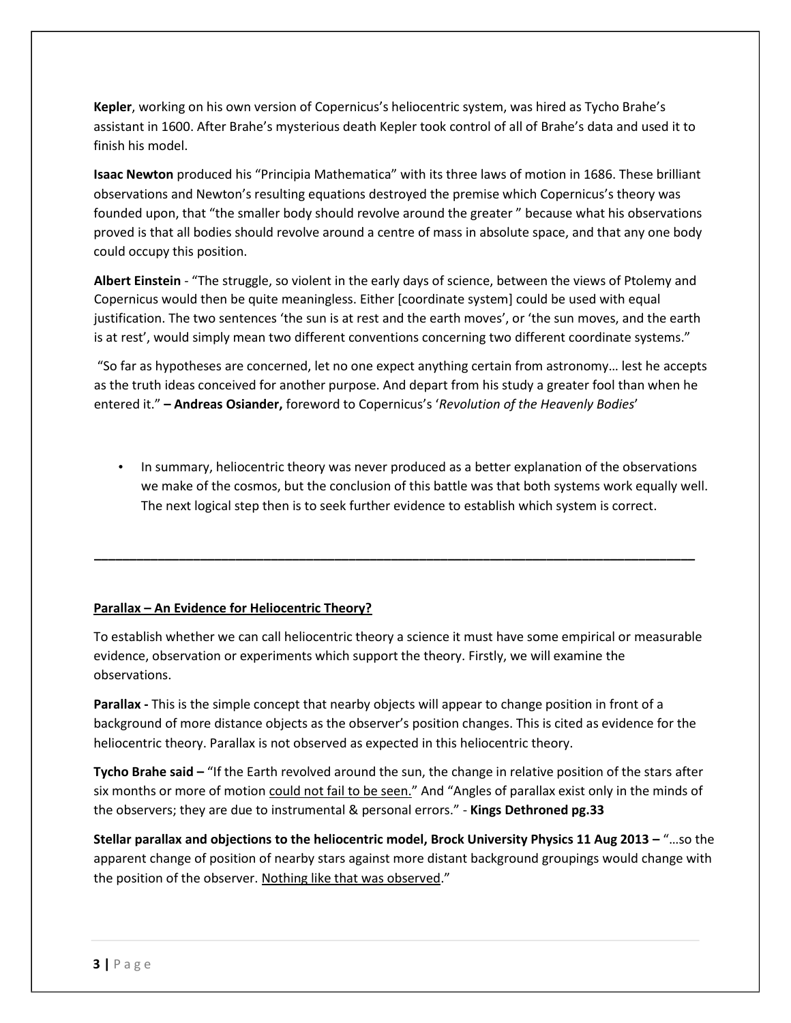**Kepler**, working on his own version of Copernicus's heliocentric system, was hired as Tycho Brahe's assistant in 1600. After Brahe's mysterious death Kepler took control of all of Brahe's data and used it to finish his model.

**Isaac Newton** produced his "Principia Mathematica" with its three laws of motion in 1686. These brilliant observations and Newton's resulting equations destroyed the premise which Copernicus's theory was founded upon, that "the smaller body should revolve around the greater " because what his observations proved is that all bodies should revolve around a centre of mass in absolute space, and that any one body could occupy this position.

**Albert Einstein** - "The struggle, so violent in the early days of science, between the views of Ptolemy and Copernicus would then be quite meaningless. Either [coordinate system] could be used with equal justification. The two sentences 'the sun is at rest and the earth moves', or 'the sun moves, and the earth is at rest', would simply mean two different conventions concerning two different coordinate systems."

"So far as hypotheses are concerned, let no one expect anything certain from astronomy… lest he accepts as the truth ideas conceived for another purpose. And depart from his study a greater fool than when he entered it." **– Andreas Osiander,** foreword to Copernicus's '*Revolution of the Heavenly Bodies*'

• In summary, heliocentric theory was never produced as a better explanation of the observations we make of the cosmos, but the conclusion of this battle was that both systems work equally well. The next logical step then is to seek further evidence to establish which system is correct.

# **Parallax – An Evidence for Heliocentric Theory?**

To establish whether we can call heliocentric theory a science it must have some empirical or measurable evidence, observation or experiments which support the theory. Firstly, we will examine the observations.

**\_\_\_\_\_\_\_\_\_\_\_\_\_\_\_\_\_\_\_\_\_\_\_\_\_\_\_\_\_\_\_\_\_\_\_\_\_\_\_\_\_\_\_\_\_\_\_\_\_\_\_\_\_\_\_\_\_\_\_\_\_\_\_\_\_\_\_\_\_\_\_\_\_\_\_\_\_\_\_\_\_\_\_\_\_** 

**Parallax -** This is the simple concept that nearby objects will appear to change position in front of a background of more distance objects as the observer's position changes. This is cited as evidence for the heliocentric theory. Parallax is not observed as expected in this heliocentric theory.

**Tycho Brahe said –** "If the Earth revolved around the sun, the change in relative position of the stars after six months or more of motion could not fail to be seen." And "Angles of parallax exist only in the minds of the observers; they are due to instrumental & personal errors." - **Kings Dethroned pg.33**

**Stellar parallax and objections to the heliocentric model, Brock University Physics 11 Aug 2013 –** "…so the apparent change of position of nearby stars against more distant background groupings would change with the position of the observer. Nothing like that was observed."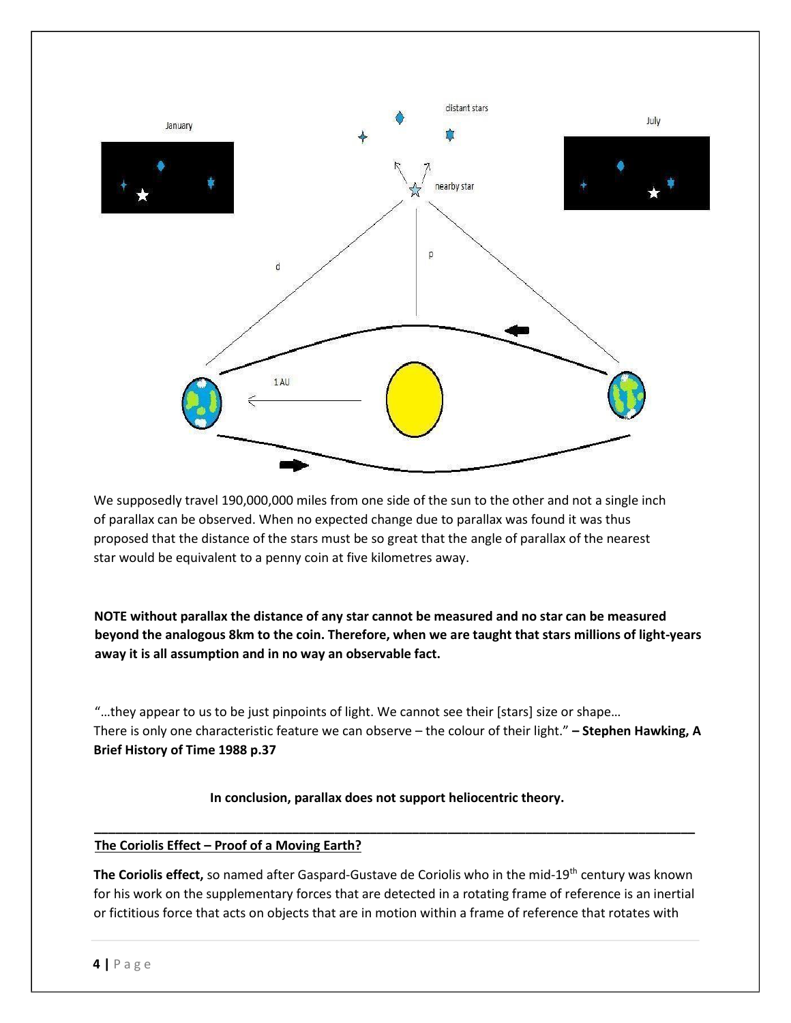

We supposedly travel 190,000,000 miles from one side of the sun to the other and not a single inch of parallax can be observed. When no expected change due to parallax was found it was thus proposed that the distance of the stars must be so great that the angle of parallax of the nearest star would be equivalent to a penny coin at five kilometres away.

**NOTE without parallax the distance of any star cannot be measured and no star can be measured beyond the analogous 8km to the coin. Therefore, when we are taught that stars millions of light-years away it is all assumption and in no way an observable fact.** 

"…they appear to us to be just pinpoints of light. We cannot see their [stars] size or shape… There is only one characteristic feature we can observe – the colour of their light." **– Stephen Hawking, A Brief History of Time 1988 p.37** 

# **In conclusion, parallax does not support heliocentric theory.**

#### **The Coriolis Effect – Proof of a Moving Earth?**

**The Coriolis effect,** so named after Gaspard-Gustave de Coriolis who in the mid-19th century was known for his work on the supplementary forces that are detected in a rotating frame of reference is an inertial or fictitious force that acts on objects that are in motion within a frame of reference that rotates with

**\_\_\_\_\_\_\_\_\_\_\_\_\_\_\_\_\_\_\_\_\_\_\_\_\_\_\_\_\_\_\_\_\_\_\_\_\_\_\_\_\_\_\_\_\_\_\_\_\_\_\_\_\_\_\_\_\_\_\_\_\_\_\_\_\_\_\_\_\_\_\_\_\_\_\_\_\_\_\_\_\_\_\_\_\_**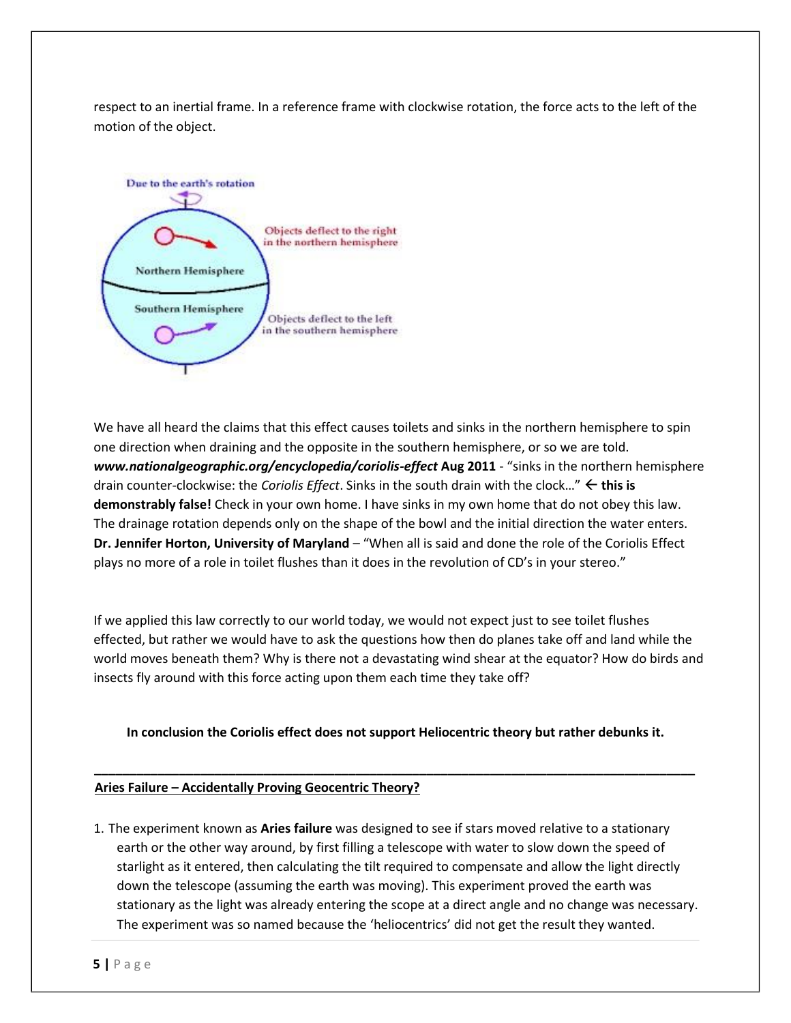respect to an inertial frame. In a reference frame with clockwise rotation, the force acts to the left of the motion of the object.



We have all heard the claims that this effect causes toilets and sinks in the northern hemisphere to spin one direction when draining and the opposite in the southern hemisphere, or so we are told. *www.nationalgeographic.org/encyclopedia/coriolis-effect* **Aug 2011** - "sinks in the northern hemisphere drain counter-clockwise: the *Coriolis Effect*. Sinks in the south drain with the clock…" **this is demonstrably false!** Check in your own home. I have sinks in my own home that do not obey this law. The drainage rotation depends only on the shape of the bowl and the initial direction the water enters. **Dr. Jennifer Horton, University of Maryland** – "When all is said and done the role of the Coriolis Effect plays no more of a role in toilet flushes than it does in the revolution of CD's in your stereo."

If we applied this law correctly to our world today, we would not expect just to see toilet flushes effected, but rather we would have to ask the questions how then do planes take off and land while the world moves beneath them? Why is there not a devastating wind shear at the equator? How do birds and insects fly around with this force acting upon them each time they take off?

**In conclusion the Coriolis effect does not support Heliocentric theory but rather debunks it.** 

**\_\_\_\_\_\_\_\_\_\_\_\_\_\_\_\_\_\_\_\_\_\_\_\_\_\_\_\_\_\_\_\_\_\_\_\_\_\_\_\_\_\_\_\_\_\_\_\_\_\_\_\_\_\_\_\_\_\_\_\_\_\_\_\_\_\_\_\_\_\_\_\_\_\_\_\_\_\_\_\_\_\_\_\_\_** 

#### **Aries Failure – Accidentally Proving Geocentric Theory?**

1. The experiment known as **Aries failure** was designed to see if stars moved relative to a stationary earth or the other way around, by first filling a telescope with water to slow down the speed of starlight as it entered, then calculating the tilt required to compensate and allow the light directly down the telescope (assuming the earth was moving). This experiment proved the earth was stationary as the light was already entering the scope at a direct angle and no change was necessary. The experiment was so named because the 'heliocentrics' did not get the result they wanted.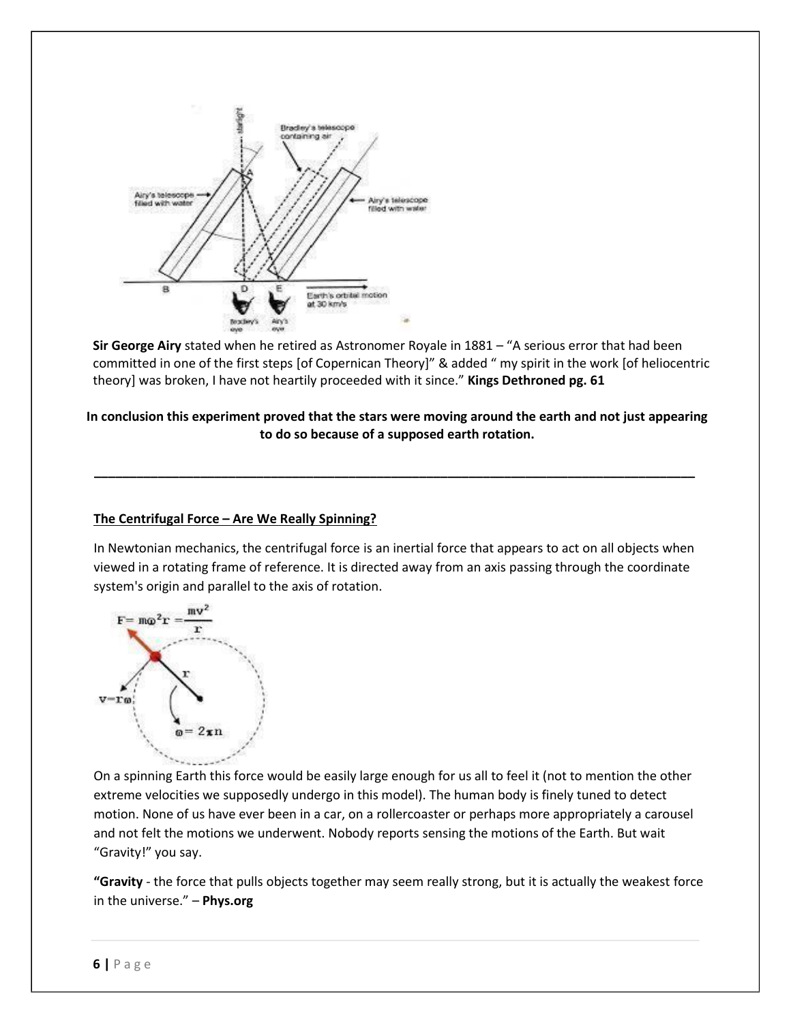

**Sir George Airy** stated when he retired as Astronomer Royale in 1881 – "A serious error that had been committed in one of the first steps [of Copernican Theory]" & added " my spirit in the work [of heliocentric theory] was broken, I have not heartily proceeded with it since." **Kings Dethroned pg. 61**

# **In conclusion this experiment proved that the stars were moving around the earth and not just appearing to do so because of a supposed earth rotation.**

**\_\_\_\_\_\_\_\_\_\_\_\_\_\_\_\_\_\_\_\_\_\_\_\_\_\_\_\_\_\_\_\_\_\_\_\_\_\_\_\_\_\_\_\_\_\_\_\_\_\_\_\_\_\_\_\_\_\_\_\_\_\_\_\_\_\_\_\_\_\_\_\_\_\_\_\_\_\_\_\_\_\_\_\_\_** 

# **The Centrifugal Force – Are We Really Spinning?**

In Newtonian mechanics, the centrifugal force is an inertial force that appears to act on all objects when viewed in a rotating frame of reference. It is directed away from an axis passing through the coordinate system's origin and parallel to the axis of rotation.



On a spinning Earth this force would be easily large enough for us all to feel it (not to mention the other extreme velocities we supposedly undergo in this model). The human body is finely tuned to detect motion. None of us have ever been in a car, on a rollercoaster or perhaps more appropriately a carousel and not felt the motions we underwent. Nobody reports sensing the motions of the Earth. But wait "Gravity!" you say.

**"Gravity** - the force that pulls objects together may seem really strong, but it is actually the weakest force in the universe." – **Phys.org**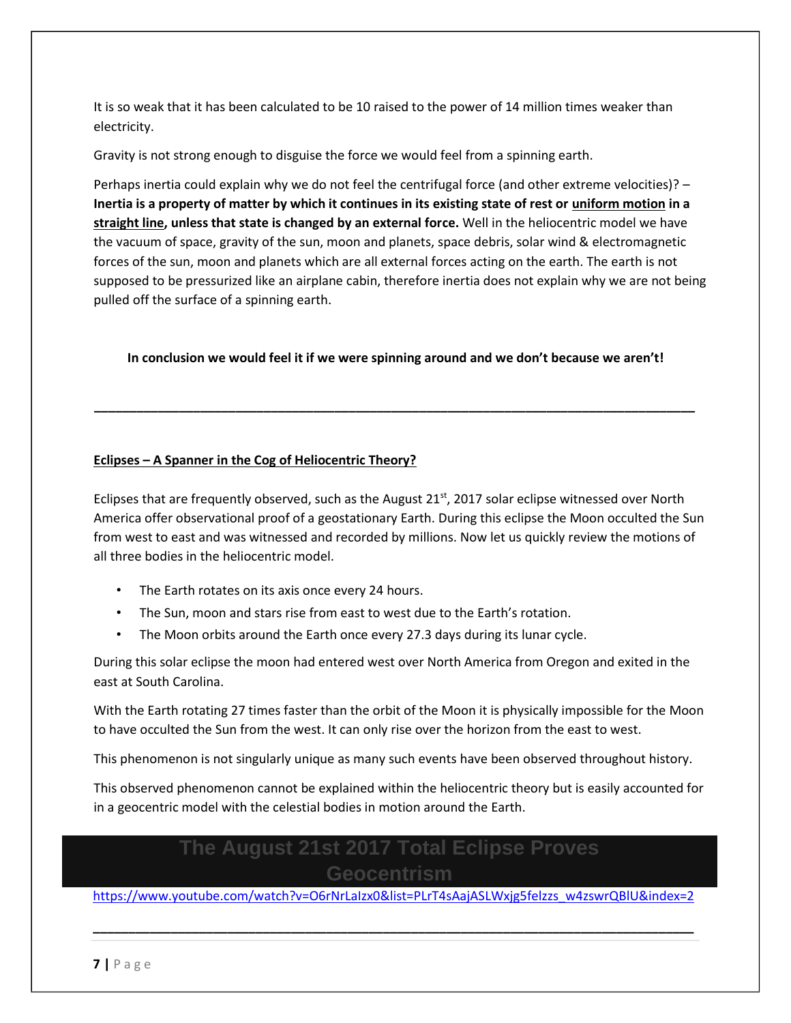It is so weak that it has been calculated to be 10 raised to the power of 14 million times weaker than electricity.

Gravity is not strong enough to disguise the force we would feel from a spinning earth.

Perhaps inertia could explain why we do not feel the centrifugal force (and other extreme velocities)? – **Inertia is a property of matter by which it continues in its existing state of rest or uniform motion in a straight line, unless that state is changed by an external force.** Well in the heliocentric model we have the vacuum of space, gravity of the sun, moon and planets, space debris, solar wind & electromagnetic forces of the sun, moon and planets which are all external forces acting on the earth. The earth is not supposed to be pressurized like an airplane cabin, therefore inertia does not explain why we are not being pulled off the surface of a spinning earth.

#### **In conclusion we would feel it if we were spinning around and we don't because we aren't!**

**\_\_\_\_\_\_\_\_\_\_\_\_\_\_\_\_\_\_\_\_\_\_\_\_\_\_\_\_\_\_\_\_\_\_\_\_\_\_\_\_\_\_\_\_\_\_\_\_\_\_\_\_\_\_\_\_\_\_\_\_\_\_\_\_\_\_\_\_\_\_\_\_\_\_\_\_\_\_\_\_\_\_\_\_\_** 

#### **Eclipses – A Spanner in the Cog of Heliocentric Theory?**

Eclipses that are frequently observed, such as the August  $21^{st}$ , 2017 solar eclipse witnessed over North America offer observational proof of a geostationary Earth. During this eclipse the Moon occulted the Sun from west to east and was witnessed and recorded by millions. Now let us quickly review the motions of all three bodies in the heliocentric model.

- The Earth rotates on its axis once every 24 hours.
- The Sun, moon and stars rise from east to west due to the Earth's rotation.
- The Moon orbits around the Earth once every 27.3 days during its lunar cycle.

During this solar eclipse the moon had entered west over North America from Oregon and exited in the east at South Carolina.

With the Earth rotating 27 times faster than the orbit of the Moon it is physically impossible for the Moon to have occulted the Sun from the west. It can only rise over the horizon from the east to west.

This phenomenon is not singularly unique as many such events have been observed throughout history.

This observed phenomenon cannot be explained within the heliocentric theory but is easily accounted for in a geocentric model with the celestial bodies in motion around the Earth.

# **The August 21st 2017 Total Eclipse Proves Geocentrism**

[https://www.youtube.com/watch?v=O6rNrLaIzx0&list=PLrT4sAajASLWxjg5felzzs\\_w4zswrQBlU&index=2](https://www.youtube.com/watch?v=O6rNrLaIzx0&list=PLrT4sAajASLWxjg5felzzs_w4zswrQBlU&index=2)

**\_\_\_\_\_\_\_\_\_\_\_\_\_\_\_\_\_\_\_\_\_\_\_\_\_\_\_\_\_\_\_\_\_\_\_\_\_\_\_\_\_\_\_\_\_\_\_\_\_\_\_\_\_\_\_\_\_\_\_\_\_\_\_\_\_\_\_\_\_\_\_\_\_\_\_\_\_\_\_\_\_\_\_\_\_**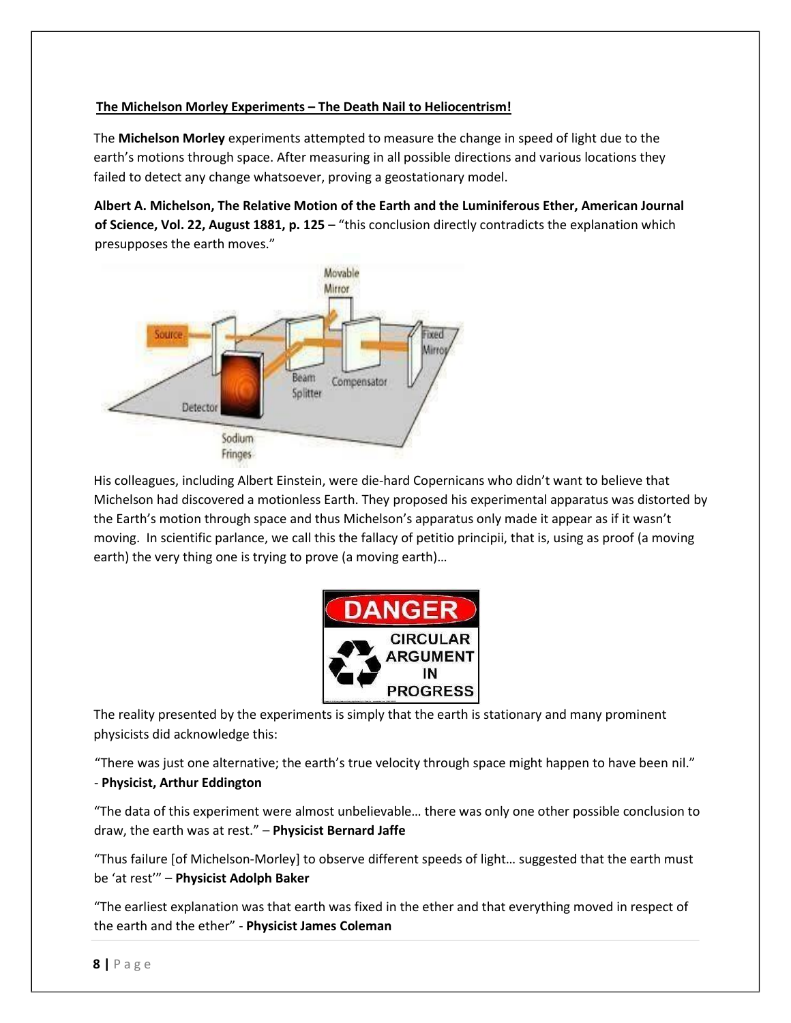## **The Michelson Morley Experiments – The Death Nail to Heliocentrism!**

The **Michelson Morley** experiments attempted to measure the change in speed of light due to the earth's motions through space. After measuring in all possible directions and various locations they failed to detect any change whatsoever, proving a geostationary model.

**Albert A. Michelson, The Relative Motion of the Earth and the Luminiferous Ether, American Journal of Science, Vol. 22, August 1881, p. 125** – "this conclusion directly contradicts the explanation which presupposes the earth moves."



His colleagues, including Albert Einstein, were die‐hard Copernicans who didn't want to believe that Michelson had discovered a motionless Earth. They proposed his experimental apparatus was distorted by the Earth's motion through space and thus Michelson's apparatus only made it appear as if it wasn't moving. In scientific parlance, we call this the fallacy of petitio principii, that is, using as proof (a moving earth) the very thing one is trying to prove (a moving earth)…



The reality presented by the experiments is simply that the earth is stationary and many prominent physicists did acknowledge this:

"There was just one alternative; the earth's true velocity through space might happen to have been nil." - **Physicist, Arthur Eddington**

"The data of this experiment were almost unbelievable… there was only one other possible conclusion to draw, the earth was at rest." – **Physicist Bernard Jaffe**

"Thus failure [of Michelson-Morley] to observe different speeds of light… suggested that the earth must be 'at rest'" – **Physicist Adolph Baker**

"The earliest explanation was that earth was fixed in the ether and that everything moved in respect of the earth and the ether" - **Physicist James Coleman**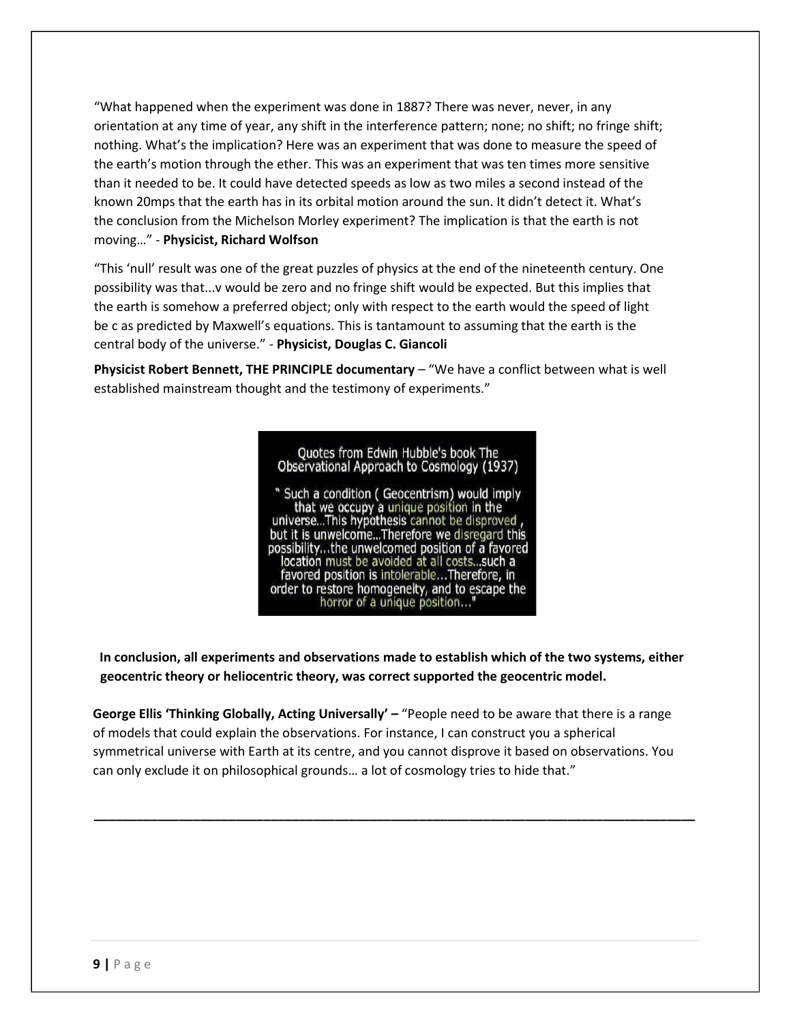"What happened when the experiment was done in 1887? There was never, never, in any orientation at any time of year, any shift in the interference pattern; none; no shift; no fringe shift; nothing. What's the implication? Here was an experiment that was done to measure the speed of the earth's motion through the ether. This was an experiment that was ten times more sensitive than it needed to be. It could have detected speeds as low as two miles a second instead of the known 20mps that the earth has in its orbital motion around the sun. It didn't detect it. What's the conclusion from the Michelson Morley experiment? The implication is that the earth is not moving…" - **Physicist, Richard Wolfson** 

"This 'null' result was one of the great puzzles of physics at the end of the nineteenth century. One possibility was that...v would be zero and no fringe shift would be expected. But this implies that the earth is somehow a preferred object; only with respect to the earth would the speed of light be c as predicted by Maxwell's equations. This is tantamount to assuming that the earth is the central body of the universe." - **Physicist, Douglas C. Giancoli** 

**Physicist Robert Bennett, THE PRINCIPLE documentary – "We have a conflict between what is well** established mainstream thought and the testimony of experiments."

> Quotes from Edwin Hubble's book The Observational Approach to Cosmology (1937) " Such a condition ( Geocentrism) would imply

that we occupy a unique position in the<br>universe...This hypothesis cannot be disproved, but it is unwelcome...Therefore we disregard this possibility...the unwelcomed position of a favored location must be avoided at all costs...such a favored position is intolerable...Therefore, in order to restore homogeneity, and to escape the horror of a unique position..."

**In conclusion, all experiments and observations made to establish which of the two systems, either geocentric theory or heliocentric theory, was correct supported the geocentric model.** 

**George Ellis 'Thinking Globally, Acting Universally' –** "People need to be aware that there is a range of models that could explain the observations. For instance, I can construct you a spherical symmetrical universe with Earth at its centre, and you cannot disprove it based on observations. You can only exclude it on philosophical grounds… a lot of cosmology tries to hide that."

**\_\_\_\_\_\_\_\_\_\_\_\_\_\_\_\_\_\_\_\_\_\_\_\_\_\_\_\_\_\_\_\_\_\_\_\_\_\_\_\_\_\_\_\_\_\_\_\_\_\_\_\_\_\_\_\_\_\_\_\_\_\_\_\_\_\_\_\_\_\_\_\_\_\_\_\_\_\_\_\_\_\_\_\_\_**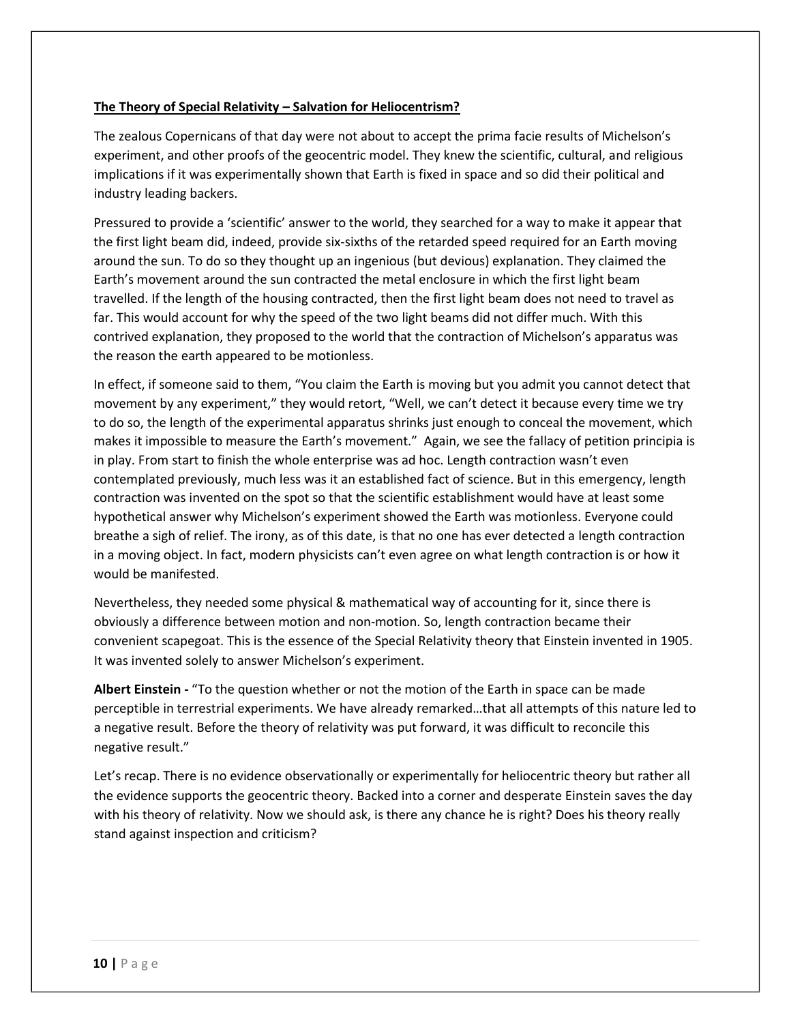#### **The Theory of Special Relativity – Salvation for Heliocentrism?**

The zealous Copernicans of that day were not about to accept the prima facie results of Michelson's experiment, and other proofs of the geocentric model. They knew the scientific, cultural, and religious implications if it was experimentally shown that Earth is fixed in space and so did their political and industry leading backers.

Pressured to provide a 'scientific' answer to the world, they searched for a way to make it appear that the first light beam did, indeed, provide six‐sixths of the retarded speed required for an Earth moving around the sun. To do so they thought up an ingenious (but devious) explanation. They claimed the Earth's movement around the sun contracted the metal enclosure in which the first light beam travelled. If the length of the housing contracted, then the first light beam does not need to travel as far. This would account for why the speed of the two light beams did not differ much. With this contrived explanation, they proposed to the world that the contraction of Michelson's apparatus was the reason the earth appeared to be motionless.

In effect, if someone said to them, "You claim the Earth is moving but you admit you cannot detect that movement by any experiment," they would retort, "Well, we can't detect it because every time we try to do so, the length of the experimental apparatus shrinks just enough to conceal the movement, which makes it impossible to measure the Earth's movement." Again, we see the fallacy of petition principia is in play. From start to finish the whole enterprise was ad hoc. Length contraction wasn't even contemplated previously, much less was it an established fact of science. But in this emergency, length contraction was invented on the spot so that the scientific establishment would have at least some hypothetical answer why Michelson's experiment showed the Earth was motionless. Everyone could breathe a sigh of relief. The irony, as of this date, is that no one has ever detected a length contraction in a moving object. In fact, modern physicists can't even agree on what length contraction is or how it would be manifested.

Nevertheless, they needed some physical & mathematical way of accounting for it, since there is obviously a difference between motion and non‐motion. So, length contraction became their convenient scapegoat. This is the essence of the Special Relativity theory that Einstein invented in 1905. It was invented solely to answer Michelson's experiment.

**Albert Einstein -** "To the question whether or not the motion of the Earth in space can be made perceptible in terrestrial experiments. We have already remarked…that all attempts of this nature led to a negative result. Before the theory of relativity was put forward, it was difficult to reconcile this negative result."

Let's recap. There is no evidence observationally or experimentally for heliocentric theory but rather all the evidence supports the geocentric theory. Backed into a corner and desperate Einstein saves the day with his theory of relativity. Now we should ask, is there any chance he is right? Does his theory really stand against inspection and criticism?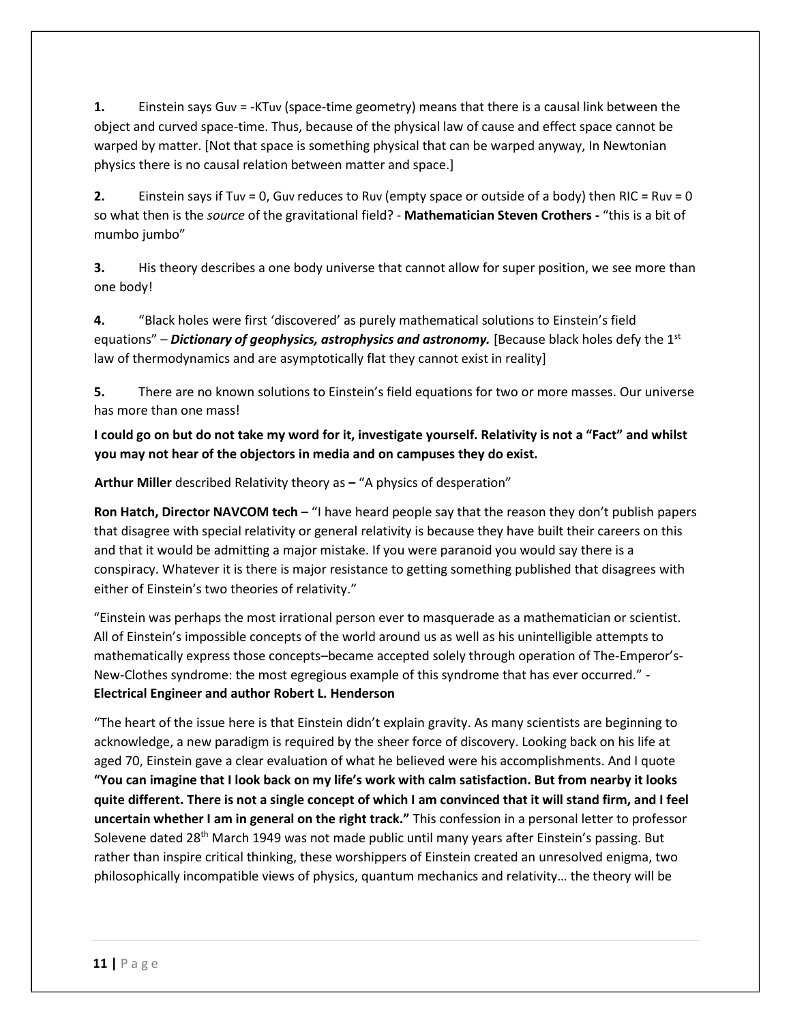**1.** Einstein says Guv = -KTuv (space-time geometry) means that there is a causal link between the object and curved space-time. Thus, because of the physical law of cause and effect space cannot be warped by matter. [Not that space is something physical that can be warped anyway, In Newtonian physics there is no causal relation between matter and space.]

**2.** Einstein says if Tuv = 0, Guv reduces to Ruv (empty space or outside of a body) then RIC = Ruv = 0 so what then is the *source* of the gravitational field? - **Mathematician Steven Crothers -** "this is a bit of mumbo jumbo"

**3.** His theory describes a one body universe that cannot allow for super position, we see more than one body!

**4.** "Black holes were first 'discovered' as purely mathematical solutions to Einstein's field equations" – **Dictionary of geophysics, astrophysics and astronomy.** [Because black holes defy the 1st law of thermodynamics and are asymptotically flat they cannot exist in reality]

**5.** There are no known solutions to Einstein's field equations for two or more masses. Our universe has more than one mass!

**I could go on but do not take my word for it, investigate yourself. Relativity is not a "Fact" and whilst you may not hear of the objectors in media and on campuses they do exist.** 

**Arthur Miller** described Relativity theory as **–** "A physics of desperation"

**Ron Hatch, Director NAVCOM tech** – "I have heard people say that the reason they don't publish papers that disagree with special relativity or general relativity is because they have built their careers on this and that it would be admitting a major mistake. If you were paranoid you would say there is a conspiracy. Whatever it is there is major resistance to getting something published that disagrees with either of Einstein's two theories of relativity."

"Einstein was perhaps the most irrational person ever to masquerade as a mathematician or scientist. All of Einstein's impossible concepts of the world around us as well as his unintelligible attempts to mathematically express those concepts–became accepted solely through operation of The-Emperor's-New-Clothes syndrome: the most egregious example of this syndrome that has ever occurred." - **Electrical Engineer and author Robert L. Henderson** 

"The heart of the issue here is that Einstein didn't explain gravity. As many scientists are beginning to acknowledge, a new paradigm is required by the sheer force of discovery. Looking back on his life at aged 70, Einstein gave a clear evaluation of what he believed were his accomplishments. And I quote **"You can imagine that I look back on my life's work with calm satisfaction. But from nearby it looks quite different. There is not a single concept of which I am convinced that it will stand firm, and I feel uncertain whether I am in general on the right track."** This confession in a personal letter to professor Solevene dated 28<sup>th</sup> March 1949 was not made public until many years after Einstein's passing. But rather than inspire critical thinking, these worshippers of Einstein created an unresolved enigma, two philosophically incompatible views of physics, quantum mechanics and relativity… the theory will be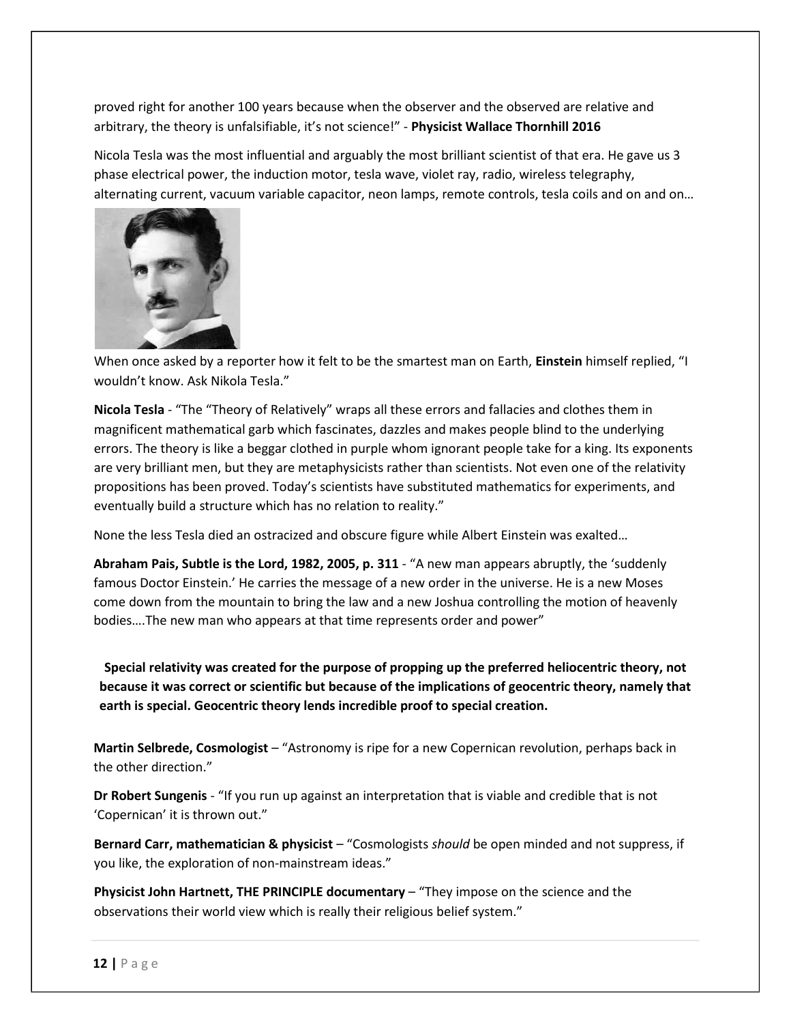proved right for another 100 years because when the observer and the observed are relative and arbitrary, the theory is unfalsifiable, it's not science!" - **Physicist Wallace Thornhill 2016** 

Nicola Tesla was the most influential and arguably the most brilliant scientist of that era. He gave us 3 phase electrical power, the induction motor, tesla wave, violet ray, radio, wireless telegraphy, alternating current, vacuum variable capacitor, neon lamps, remote controls, tesla coils and on and on…



When once asked by a reporter how it felt to be the smartest man on Earth, **Einstein** himself replied, "I wouldn't know. Ask Nikola Tesla."

**Nicola Tesla** - "The "Theory of Relatively" wraps all these errors and fallacies and clothes them in magnificent mathematical garb which fascinates, dazzles and makes people blind to the underlying errors. The theory is like a beggar clothed in purple whom ignorant people take for a king. Its exponents are very brilliant men, but they are metaphysicists rather than scientists. Not even one of the relativity propositions has been proved. Today's scientists have substituted mathematics for experiments, and eventually build a structure which has no relation to reality."

None the less Tesla died an ostracized and obscure figure while Albert Einstein was exalted…

**Abraham Pais, Subtle is the Lord, 1982, 2005, p. 311** - "A new man appears abruptly, the 'suddenly famous Doctor Einstein.' He carries the message of a new order in the universe. He is a new Moses come down from the mountain to bring the law and a new Joshua controlling the motion of heavenly bodies….The new man who appears at that time represents order and power"

**Special relativity was created for the purpose of propping up the preferred heliocentric theory, not because it was correct or scientific but because of the implications of geocentric theory, namely that earth is special. Geocentric theory lends incredible proof to special creation.** 

**Martin Selbrede, Cosmologist** – "Astronomy is ripe for a new Copernican revolution, perhaps back in the other direction."

**Dr Robert Sungenis** - "If you run up against an interpretation that is viable and credible that is not 'Copernican' it is thrown out."

**Bernard Carr, mathematician & physicist** – "Cosmologists *should* be open minded and not suppress, if you like, the exploration of non-mainstream ideas."

**Physicist John Hartnett, THE PRINCIPLE documentary** – "They impose on the science and the observations their world view which is really their religious belief system."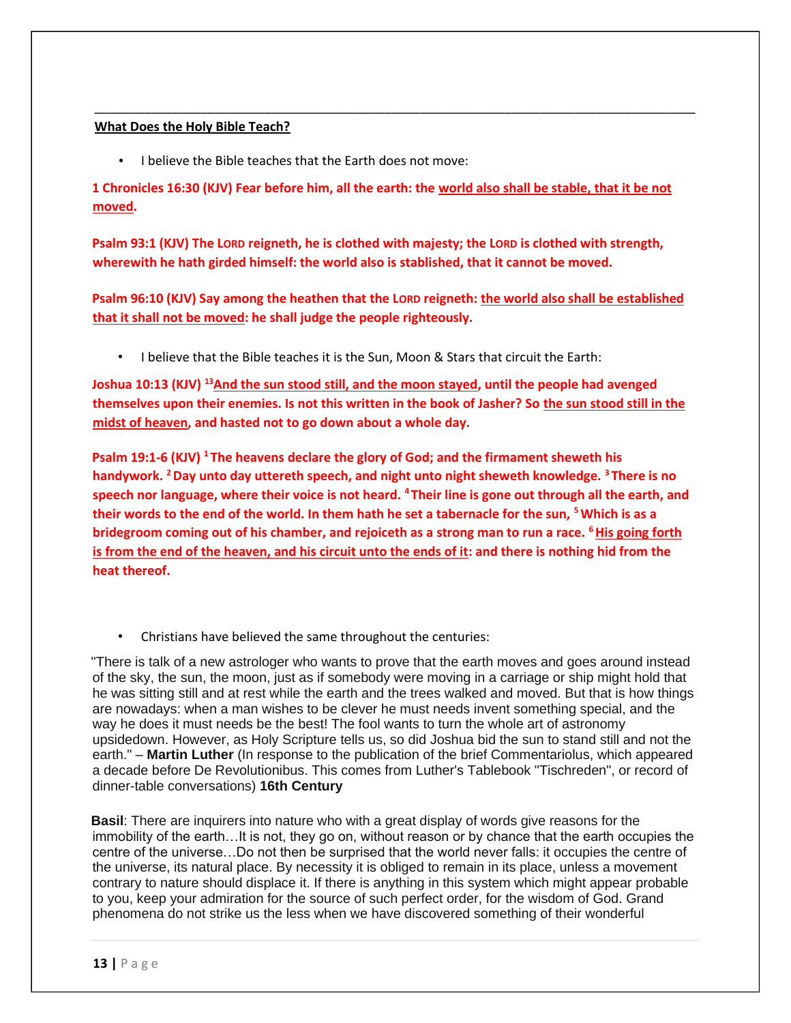#### **What Does the Holy Bible Teach?**

• I believe the Bible teaches that the Earth does not move:

**1 Chronicles 16:30 (KJV) Fear before him, all the earth: the world also shall be stable, that it be not moved.** 

\_\_\_\_\_\_\_\_\_\_\_\_\_\_\_\_\_\_\_\_\_\_\_\_\_\_\_\_\_\_\_\_\_\_\_\_\_\_\_\_\_\_\_\_\_\_\_\_\_\_\_\_\_\_\_\_\_\_\_\_\_\_\_\_\_\_\_\_\_\_\_\_\_\_\_\_\_\_\_\_\_\_\_\_\_

**Psalm 93:1 (KJV) The LORD reigneth, he is clothed with majesty; the LORD is clothed with strength, wherewith he hath girded himself: the world also is stablished, that it cannot be moved.** 

**Psalm 96:10 (KJV) Say among the heathen that the LORD reigneth: the world also shall be established that it shall not be moved: he shall judge the people righteously.**

• I believe that the Bible teaches it is the Sun, Moon & Stars that circuit the Earth:

**Joshua 10:13 (KJV) <sup>13</sup>And the sun stood still, and the moon stayed, until the people had avenged themselves upon their enemies. Is not this written in the book of Jasher? So the sun stood still in the midst of heaven, and hasted not to go down about a whole day.**

**Psalm 19:1-6 (KJV) <sup>1</sup>The heavens declare the glory of God; and the firmament sheweth his handywork. <sup>2</sup>Day unto day uttereth speech, and night unto night sheweth knowledge. <sup>3</sup>There is no speech nor language, where their voice is not heard. <sup>4</sup>Their line is gone out through all the earth, and their words to the end of the world. In them hath he set a tabernacle for the sun, <sup>5</sup>Which is as a bridegroom coming out of his chamber, and rejoiceth as a strong man to run a race. <sup>6</sup>His going forth is from the end of the heaven, and his circuit unto the ends of it: and there is nothing hid from the heat thereof.** 

• Christians have believed the same throughout the centuries:

"There is talk of a new astrologer who wants to prove that the earth moves and goes around instead of the sky, the sun, the moon, just as if somebody were moving in a carriage or ship might hold that he was sitting still and at rest while the earth and the trees walked and moved. But that is how things are nowadays: when a man wishes to be clever he must needs invent something special, and the way he does it must needs be the best! The fool wants to turn the whole art of astronomy upsidedown. However, as Holy Scripture tells us, so did Joshua bid the sun to stand still and not the earth." – **Martin Luther** (In response to the publication of the brief Commentariolus, which appeared a decade before De Revolutionibus. This comes from Luther's Tablebook "Tischreden", or record of dinner-table conversations) **16th Century**

**Basil**: There are inquirers into nature who with a great display of words give reasons for the immobility of the earth…It is not, they go on, without reason or by chance that the earth occupies the centre of the universe…Do not then be surprised that the world never falls: it occupies the centre of the universe, its natural place. By necessity it is obliged to remain in its place, unless a movement contrary to nature should displace it. If there is anything in this system which might appear probable to you, keep your admiration for the source of such perfect order, for the wisdom of God. Grand phenomena do not strike us the less when we have discovered something of their wonderful